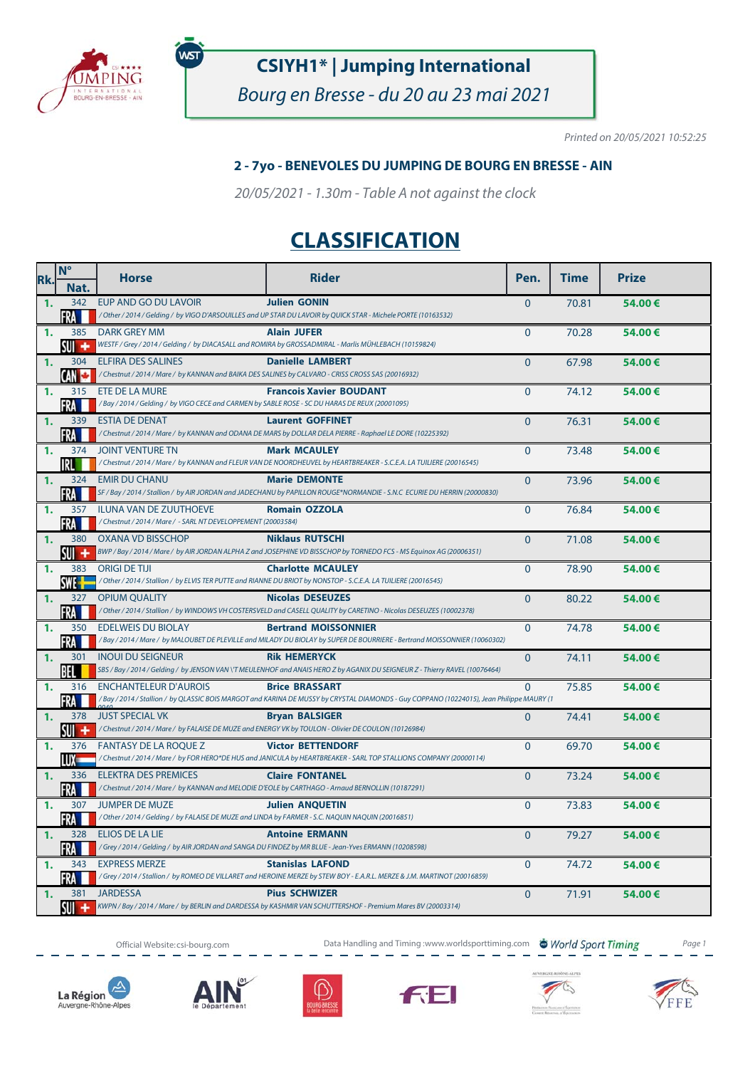

พร

## **CSIYH1\* | Jumping International**

Bourg en Bresse - du 20 au 23 mai 2021

Printed on 20/05/2021 10:52:25

#### **2 - 7yo - BENEVOLES DU JUMPING DE BOURG EN BRESSE - AIN**

20/05/2021 - 1.30m - Table A not against the clock

# **CLASSIFICATION**

| Rk. | $N^{\circ}$         | <b>Horse</b>                                                                                                                  | <b>Rider</b>                                                                                                                                                       | Pen.           | <b>Time</b> | <b>Prize</b> |
|-----|---------------------|-------------------------------------------------------------------------------------------------------------------------------|--------------------------------------------------------------------------------------------------------------------------------------------------------------------|----------------|-------------|--------------|
|     | Nat.                |                                                                                                                               |                                                                                                                                                                    |                |             |              |
| 1.  | 342                 | EUP AND GO DU LAVOIR                                                                                                          | <b>Julien GONIN</b><br>/ Other / 2014 / Gelding / by VIGO D'ARSOUILLES and UP STAR DU LAVOIR by QUICK STAR - Michele PORTE (10163532)                              | $\overline{0}$ | 70.81       | 54.00€       |
| 1.  | FRA<br>385          | DARK GREY MM                                                                                                                  | <b>Alain JUFER</b>                                                                                                                                                 | $\Omega$       | 70.28       |              |
|     | sui +               |                                                                                                                               | WESTF / Grey / 2014 / Gelding / by DIACASALL and ROMIRA by GROSSADMIRAL - Marlis MÜHLEBACH (10159824)                                                              |                |             | 54.00€       |
| 1.  | 304                 | <b>ELFIRA DES SALINES</b>                                                                                                     | <b>Danielle LAMBERT</b>                                                                                                                                            | $\Omega$       | 67.98       | 54.00€       |
|     | CAN                 | /Chestnut / 2014 / Mare / by KANNAN and BAIKA DES SALINES by CALVARO - CRISS CROSS SAS (20016932)                             |                                                                                                                                                                    |                |             |              |
| 1.  | 315                 | ETE DE LA MURE                                                                                                                | <b>Francois Xavier BOUDANT</b>                                                                                                                                     | $\Omega$       | 74.12       | 54.00€       |
|     | FRA                 | /Bay / 2014 / Gelding / by VIGO CECE and CARMEN by SABLE ROSE - SC DU HARAS DE REUX (20001095)                                |                                                                                                                                                                    |                |             |              |
| 1.  | 339                 | <b>ESTIA DE DENAT</b>                                                                                                         | <b>Laurent GOFFINET</b>                                                                                                                                            | $\mathbf{0}$   | 76.31       | 54.00€       |
|     | FRA M               |                                                                                                                               | /Chestnut / 2014 / Mare / by KANNAN and ODANA DE MARS by DOLLAR DELA PIERRE - Raphael LE DORE (10225392)                                                           |                |             |              |
| 1.  | 374<br>IRL          | <b>JOINT VENTURE TN</b>                                                                                                       | <b>Mark MCAULEY</b><br>/Chestnut / 2014 / Mare / by KANNAN and FLEUR VAN DE NOORDHEUVEL by HEARTBREAKER - S.C.E.A. LA TUILIERE (20016545)                          | $\Omega$       | 73.48       | 54.00€       |
| 1.  | 324                 | <b>EMIR DU CHANU</b>                                                                                                          | <b>Marie DEMONTE</b>                                                                                                                                               | $\Omega$       | 73.96       | 54.00€       |
|     | <b>FRA</b>          |                                                                                                                               | SF / Bay / 2014 / Stallion / by AIR JORDAN and JADECHANU by PAPILLON ROUGE*NORMANDIE - S.N.C ECURIE DU HERRIN (20000830)                                           |                |             |              |
| 1.  |                     | 357 ILUNA VAN DE ZUUTHOEVE                                                                                                    | <b>Romain OZZOLA</b>                                                                                                                                               | $\mathbf{0}$   | 76.84       | 54.00€       |
|     | FRA                 | /Chestnut / 2014 / Mare / - SARL NT DEVELOPPEMENT (20003584)                                                                  |                                                                                                                                                                    |                |             |              |
| 1.  | 380                 | OXANA VD BISSCHOP                                                                                                             | <b>Niklaus RUTSCHI</b>                                                                                                                                             | $\mathbf{0}$   | 71.08       | 54.00€       |
|     | su +                |                                                                                                                               | BWP / Bay / 2014 / Mare / by AIR JORDAN ALPHA Z and JOSEPHINE VD BISSCHOP by TORNEDO FCS - MS Equinox AG (20006351)                                                |                |             |              |
| 1.  | 383<br><b>SWE-F</b> | <b>ORIGI DE TIJI</b>                                                                                                          | <b>Charlotte MCAULEY</b><br>/ Other / 2014 / Stallion / by ELVIS TER PUTTE and RIANNE DU BRIOT by NONSTOP - S.C.E.A. LA TUILIERE (20016545)                        | $\mathbf{0}$   | 78.90       | 54.00€       |
| 1.  | 327                 | <b>OPIUM OUALITY</b>                                                                                                          | <b>Nicolas DESEUZES</b>                                                                                                                                            | $\overline{0}$ | 80.22       | 54.00€       |
|     | FRA I               |                                                                                                                               | / Other / 2014 / Stallion / by WINDOWS VH COSTERSVELD and CASELL QUALITY by CARETINO - Nicolas DESEUZES (10002378)                                                 |                |             |              |
| 1.  | 350                 | <b>EDELWEIS DU BIOLAY</b>                                                                                                     | <b>Bertrand MOISSONNIER</b>                                                                                                                                        | $\mathbf{0}$   | 74.78       | 54.00€       |
|     | FRA                 |                                                                                                                               | /Bay / 2014 / Mare / by MALOUBET DE PLEVILLE and MILADY DU BIOLAY by SUPER DE BOURRIERE - Bertrand MOISSONNIER (10060302)                                          |                |             |              |
| 1.  | 301                 | <b>INOUI DU SEIGNEUR</b>                                                                                                      | <b>Rik HEMERYCK</b>                                                                                                                                                | $\Omega$       | 74.11       | 54.00€       |
|     | BEL                 |                                                                                                                               | SBS / Bay / 2014 / Gelding / by JENSON VAN \'T MEULENHOF and ANAIS HERO Z by AGANIX DU SEIGNEUR Z - Thierry RAVEL (10076464)                                       |                |             |              |
| 1.  | 316                 | <b>ENCHANTELEUR D'AUROIS</b>                                                                                                  | <b>Brice BRASSART</b><br>/ Bay / 2014 / Stallion / by QLASSIC BOIS MARGOT and KARINA DE MUSSY by CRYSTAL DIAMONDS - Guy COPPANO (10224015), Jean Philippe MAURY (1 | $\Omega$       | 75.85       | 54.00€       |
| 1.  | FRA<br>378          | <b>JUST SPECIAL VK</b>                                                                                                        | <b>Bryan BALSIGER</b>                                                                                                                                              | $\mathbf{0}$   | 74.41       |              |
|     | su +                | /Chestnut / 2014 / Mare / by FALAISE DE MUZE and ENERGY VK by TOULON - Olivier DE COULON (10126984)                           |                                                                                                                                                                    |                |             | 54.00€       |
| 1.  | 376                 | <b>FANTASY DE LA ROQUE Z</b>                                                                                                  | <b>Victor BETTENDORF</b>                                                                                                                                           | $\Omega$       | 69.70       | 54.00€       |
|     | LUX —               |                                                                                                                               | /Chestnut / 2014 / Mare / by FOR HERO*DE HUS and JANICULA by HEARTBREAKER - SARL TOP STALLIONS COMPANY (20000114)                                                  |                |             |              |
| 1.  | 336                 | <b>ELEKTRA DES PREMICES</b>                                                                                                   | <b>Claire FONTANEL</b>                                                                                                                                             | $\Omega$       | 73.24       | 54.00€       |
|     | <b>FRA</b>          | /Chestnut/2014/Mare/ by KANNAN and MELODIE D'EOLE by CARTHAGO - Arnaud BERNOLLIN (10187291)                                   |                                                                                                                                                                    |                |             |              |
| 1.  | 307                 | <b>JUMPER DE MUZE</b>                                                                                                         | <b>Julien ANQUETIN</b>                                                                                                                                             | $\mathbf{0}$   | 73.83       | 54.00€       |
|     | FRA I               | / Other / 2014 / Gelding / by FALAISE DE MUZE and LINDA by FARMER - S.C. NAQUIN NAQUIN (20016851)                             |                                                                                                                                                                    |                |             |              |
| 1.  | 328<br>FRA          | <b>ELIOS DE LA LIE</b><br>/Grey / 2014 / Gelding / by AIR JORDAN and SANGA DU FINDEZ by MR BLUE - Jean-Yves ERMANN (10208598) | <b>Antoine ERMANN</b>                                                                                                                                              | $\Omega$       | 79.27       | 54.00€       |
| 1.  |                     | 343 EXPRESS MERZE                                                                                                             | <b>Stanislas LAFOND</b>                                                                                                                                            | $\mathbf{0}$   | 74.72       | 54.00€       |
|     | -RA                 |                                                                                                                               | /Grey / 2014 / Stallion / by ROMEO DE VILLARET and HEROINE MERZE by STEW BOY - E.A.R.L. MERZE & J.M. MARTINOT (20016859)                                           |                |             |              |
| 1.  | 381                 | <b>JARDESSA</b>                                                                                                               | <b>Pius SCHWIZER</b>                                                                                                                                               | $\overline{0}$ | 71.91       | 54.00€       |
|     |                     |                                                                                                                               | KWPN / Bay / 2014 / Mare / by BERLIN and DARDESSA by KASHMIR VAN SCHUTTERSHOF - Premium Mares BV (20003314)                                                        |                |             |              |

Official Website: csi-bourg.com **Data Handling and Timing :www.worldsporttiming.com World Sport Timing** Page 1











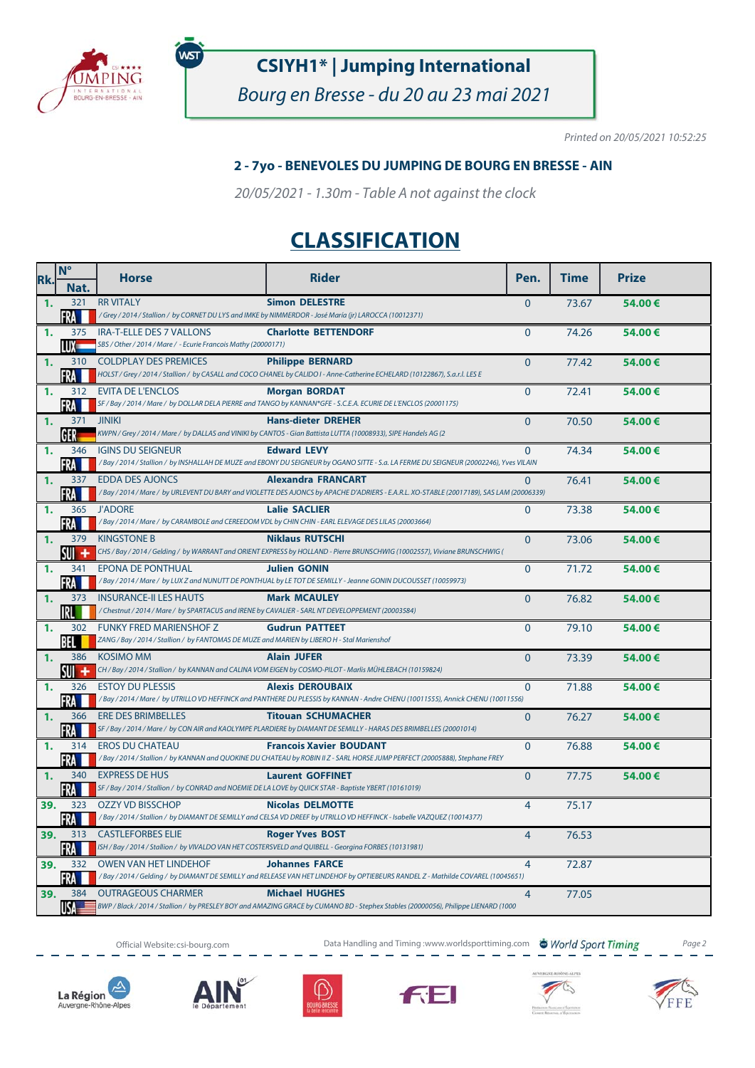

พร

## **CSIYH1\* | Jumping International**

Bourg en Bresse - du 20 au 23 mai 2021

Printed on 20/05/2021 10:52:25

#### **2 - 7yo - BENEVOLES DU JUMPING DE BOURG EN BRESSE - AIN**

20/05/2021 - 1.30m - Table A not against the clock

## **CLASSIFICATION**

| Rk.            | $N^{\circ}$  | <b>Horse</b>                                                                                                              | <b>Rider</b>                                                                                                                                                           | Pen.           | <b>Time</b> | <b>Prize</b> |
|----------------|--------------|---------------------------------------------------------------------------------------------------------------------------|------------------------------------------------------------------------------------------------------------------------------------------------------------------------|----------------|-------------|--------------|
|                | Nat.         |                                                                                                                           |                                                                                                                                                                        |                |             |              |
| $\mathbf{1}$ . | 321<br>FRA   | <b>RR VITALY</b><br>/Grey / 2014 / Stallion / by CORNET DU LYS and IMKE by NIMMERDOR - José María (jr) LAROCCA (10012371) | <b>Simon DELESTRE</b>                                                                                                                                                  | $\mathbf{0}$   | 73.67       | 54.00€       |
| $\mathbf{1}$   | 375          | <b>IRA-T-ELLE DES 7 VALLONS</b>                                                                                           | <b>Charlotte BETTENDORF</b>                                                                                                                                            | $\mathbf{0}$   | 74.26       | 54.00€       |
|                | IIIX —       | SBS / Other / 2014 / Mare / - Ecurie Francois Mathy (20000171)                                                            |                                                                                                                                                                        |                |             |              |
| 1.             | 310          | <b>COLDPLAY DES PREMICES</b>                                                                                              | <b>Philippe BERNARD</b>                                                                                                                                                | $\Omega$       | 77.42       | 54.00€       |
|                | FRA          |                                                                                                                           | HOLST / Grey / 2014 / Stallion / by CASALL and COCO CHANEL by CALIDO I - Anne-Catherine ECHELARD (10122867), S.a.r.l. LES E                                            |                |             |              |
| 1.             | 312<br>FRA   | <b>EVITA DE L'ENCLOS</b>                                                                                                  | <b>Morgan BORDAT</b><br>SF / Bay / 2014 / Mare / by DOLLAR DELA PIERRE and TANGO by KANNAN*GFE - S.C.E.A. ECURIE DE L'ENCLOS (20001175)                                | $\mathbf{0}$   | 72.41       | 54.00€       |
| 1.             | 371 JINIKI   |                                                                                                                           | <b>Hans-dieter DREHER</b>                                                                                                                                              | $\overline{0}$ | 70.50       | 54.00€       |
|                | GER          |                                                                                                                           | KWPN / Grey / 2014 / Mare / by DALLAS and VINIKI by CANTOS - Gian Battista LUTTA (10008933), SIPE Handels AG (2                                                        |                |             |              |
| 1.             | 346          | <b>IGINS DU SEIGNEUR</b>                                                                                                  | <b>Edward LEVY</b>                                                                                                                                                     | $\Omega$       | 74.34       | 54.00€       |
|                | FRA          |                                                                                                                           | / Bay / 2014 / Stallion / by INSHALLAH DE MUZE and EBONY DU SEIGNEUR by OGANO SITTE - S.a. LA FERME DU SEIGNEUR (20002246), Yves VILAIN                                |                |             |              |
| 1.             | 337<br>FRA   | <b>EDDA DES AJONCS</b>                                                                                                    | <b>Alexandra FRANCART</b><br>/ Bay / 2014 / Mare / by URLEVENT DU BARY and VIOLETTE DES AJONCS by APACHE D'ADRIERS - E.A.R.L. XO-STABLE (20017189), SAS LAM (20006339) | $\Omega$       | 76.41       | 54.00€       |
| 1.             | 365          | <b>J'ADORE</b>                                                                                                            | <b>Lalie SACLIER</b>                                                                                                                                                   | $\Omega$       | 73.38       | 54.00€       |
|                | FRA          | /Bay/2014/Mare/ by CARAMBOLE and CEREEDOM VDL by CHIN CHIN - EARL ELEVAGE DES LILAS (20003664)                            |                                                                                                                                                                        |                |             |              |
| 1.             | 379          | <b>KINGSTONE B</b>                                                                                                        | <b>Niklaus RUTSCHI</b>                                                                                                                                                 | $\overline{0}$ | 73.06       | 54.00€       |
|                | su +         |                                                                                                                           | CHS / Bay / 2014 / Gelding / by WARRANT and ORIENT EXPRESS by HOLLAND - Pierre BRUNSCHWIG (10002557), Viviane BRUNSCHWIG (                                             |                |             |              |
| 1.             | 341<br>FRA   | <b>EPONA DE PONTHUAL</b>                                                                                                  | <b>Julien GONIN</b><br>/ Bay / 2014 / Mare / by LUX Z and NUNUTT DE PONTHUAL by LE TOT DE SEMILLY - Jeanne GONIN DUCOUSSET (10059973)                                  | $\mathbf{0}$   | 71.72       | 54.00€       |
| 1.             | 373          | <b>INSURANCE-II LES HAUTS</b>                                                                                             | <b>Mark MCAULEY</b>                                                                                                                                                    | $\overline{0}$ | 76.82       | 54.00€       |
|                | IRL I        | / Chestnut / 2014 / Mare / by SPARTACUS and IRENE by CAVALIER - SARL NT DEVELOPPEMENT (20003584)                          |                                                                                                                                                                        |                |             |              |
| 1.             | 302          | <b>FUNKY FRED MARIENSHOF Z</b>                                                                                            | <b>Gudrun PATTEET</b>                                                                                                                                                  | $\overline{0}$ | 79.10       | 54.00€       |
|                | BEL          | ZANG / Bay / 2014 / Stallion / by FANTOMAS DE MUZE and MARIEN by LIBERO H - Stal Marienshof                               |                                                                                                                                                                        |                |             |              |
| 1.             | 386<br>su +  | <b>KOSIMO MM</b>                                                                                                          | <b>Alain JUFER</b><br>CH / Bay / 2014 / Stallion / by KANNAN and CALINA VOM EIGEN by COSMO-PILOT - Marlis MÜHLEBACH (10159824)                                         | $\overline{0}$ | 73.39       | 54.00€       |
| 1.             | 326          | <b>ESTOY DU PLESSIS</b>                                                                                                   | <b>Alexis DEROUBAIX</b>                                                                                                                                                | $\mathbf{0}$   | 71.88       | 54.00€       |
|                | FRA          |                                                                                                                           | /Bay / 2014 / Mare / by UTRILLO VD HEFFINCK and PANTHERE DU PLESSIS by KANNAN - Andre CHENU (10011555), Annick CHENU (10011556)                                        |                |             |              |
| $\mathbf{1}$ . | 366          | <b>ERE DES BRIMBELLES</b>                                                                                                 | <b>Titouan SCHUMACHER</b><br>SF / Bay / 2014 / Mare / by CON AIR and KAOLYMPE PLARDIERE by DIAMANT DE SEMILLY - HARAS DES BRIMBELLES (20001014)                        | $\Omega$       | 76.27       | 54.00€       |
| 1.             | FRA<br>314   | <b>EROS DU CHATEAU</b>                                                                                                    | <b>Francois Xavier BOUDANT</b>                                                                                                                                         | $\Omega$       | 76.88       | 54.00€       |
|                | FRA          |                                                                                                                           | /Bay / 2014 / Stallion / by KANNAN and QUOKINE DU CHATEAU by ROBIN II Z - SARL HORSE JUMP PERFECT (20005888), Stephane FREY                                            |                |             |              |
| 1.             | 340          | <b>EXPRESS DE HUS</b>                                                                                                     | <b>Laurent GOFFINET</b>                                                                                                                                                | $\Omega$       | 77.75       | 54.00€       |
|                | FRA          | SF / Bay / 2014 / Stallion / by CONRAD and NOEMIE DE LA LOVE by QUICK STAR - Baptiste YBERT (10161019)                    |                                                                                                                                                                        |                |             |              |
| 39.            | 323<br>FRA I | <b>OZZY VD BISSCHOP</b>                                                                                                   | <b>Nicolas DELMOTTE</b><br>/Bay / 2014 / Stallion / by DIAMANT DE SEMILLY and CELSA VD DREEF by UTRILLO VD HEFFINCK - Isabelle VAZQUEZ (10014377)                      | $\overline{4}$ | 75.17       |              |
| 39.            | 313          | <b>CASTLEFORBES ELIE</b>                                                                                                  | <b>Roger Yves BOST</b>                                                                                                                                                 | $\overline{4}$ | 76.53       |              |
|                | FRA          | ISH / Bay / 2014 / Stallion / by VIVALDO VAN HET COSTERSVELD and QUIBELL - Georgina FORBES (10131981)                     |                                                                                                                                                                        |                |             |              |
| 39.            | 332          | <b>OWEN VAN HET LINDEHOF</b>                                                                                              | <b>Johannes FARCE</b>                                                                                                                                                  | $\overline{4}$ | 72.87       |              |
|                | FRA          |                                                                                                                           | /Bay / 2014 / Gelding / by DIAMANT DE SEMILLY and RELEASE VAN HET LINDEHOF by OPTIEBEURS RANDEL Z - Mathilde COVAREL (10045651)                                        |                |             |              |
| 39.            | 384<br>USA   | <b>OUTRAGEOUS CHARMER</b>                                                                                                 | <b>Michael HUGHES</b><br>BWP / Black / 2014 / Stallion / by PRESLEY BOY and AMAZING GRACE by CUMANO BD - Stephex Stables (20000056), Philippe LIENARD (1000            | $\overline{4}$ | 77.05       |              |
|                |              |                                                                                                                           |                                                                                                                                                                        |                |             |              |

Official Website: csi-bourg.com **Data Handling and Timing :www.worldsporttiming.com World Sport Timing** Page 2